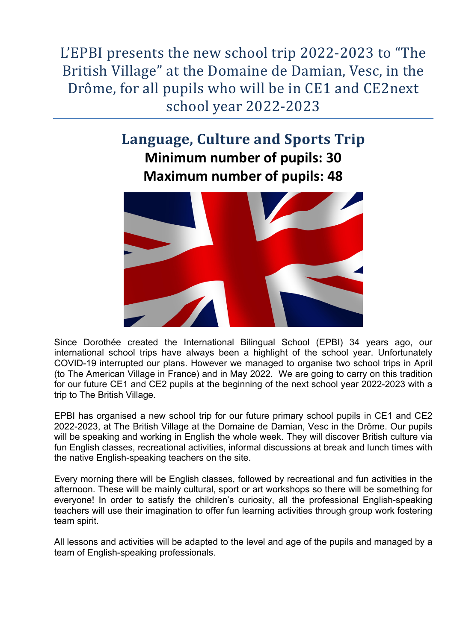L'EPBI presents the new school trip 2022-2023 to "The British Village" at the Domaine de Damian, Vesc, in the Drôme, for all pupils who will be in CE1 and CE2next school year 2022-2023

# Language, Culture and Sports Trip **Minimum number of pupils: 30 Maximum number of pupils: 48**



Since Dorothée created the International Bilingual School (EPBI) 34 years ago, our international school trips have always been a highlight of the school year. Unfortunately COVID-19 interrupted our plans. However we managed to organise two school trips in April (to The American Village in France) and in May 2022. We are going to carry on this tradition for our future CE1 and CE2 pupils at the beginning of the next school year 2022-2023 with a trip to The British Village.

EPBI has organised a new school trip for our future primary school pupils in CE1 and CE2 2022-2023, at The British Village at the Domaine de Damian, Vesc in the Drôme. Our pupils will be speaking and working in English the whole week. They will discover British culture via fun English classes, recreational activities, informal discussions at break and lunch times with the native English-speaking teachers on the site.

Every morning there will be English classes, followed by recreational and fun activities in the afternoon. These will be mainly cultural, sport or art workshops so there will be something for everyone! In order to satisfy the children's curiosity, all the professional English-speaking teachers will use their imagination to offer fun learning activities through group work fostering team spirit.

All lessons and activities will be adapted to the level and age of the pupils and managed by a team of English-speaking professionals.